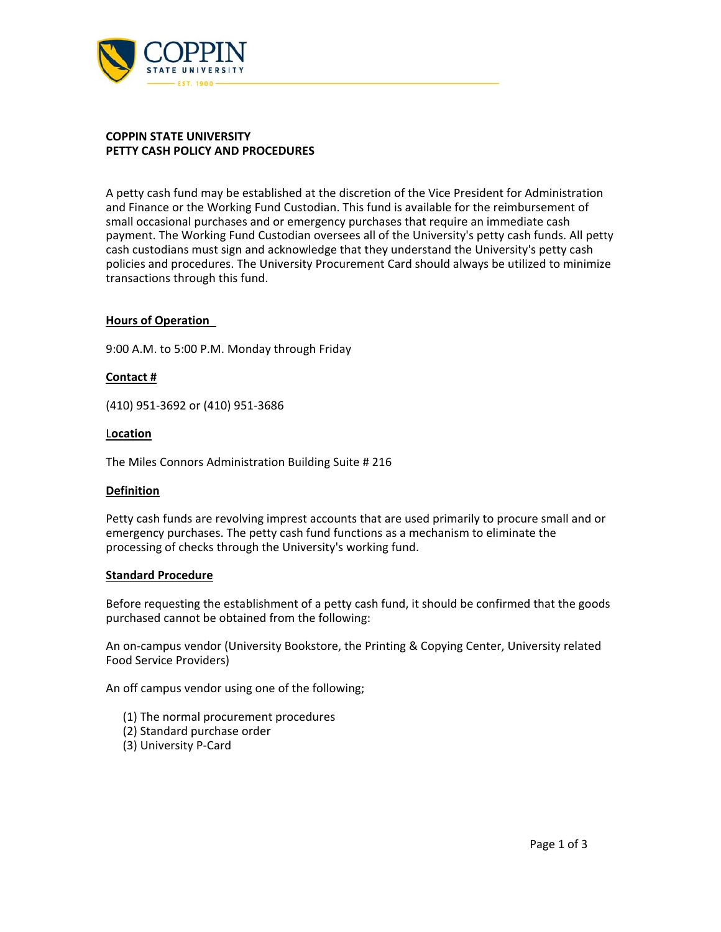

#### **COPPIN STATE UNIVERSITY PETTY CASH POLICY AND PROCEDURES**

A petty cash fund may be established at the discretion of the Vice President for Administration and Finance or the Working Fund Custodian. This fund is available for the reimbursement of small occasional purchases and or emergency purchases that require an immediate cash payment. The Working Fund Custodian oversees all of the University's petty cash funds. All petty cash custodians must sign and acknowledge that they understand the University's petty cash policies and procedures. The University Procurement Card should always be utilized to minimize transactions through this fund.

### **Hours of Operation**

9:00 A.M. to 5:00 P.M. Monday through Friday

#### **Contact #**

(410) 951‐3692 or (410) 951‐3686

#### L**ocation**

The Miles Connors Administration Building Suite # 216

#### **Definition**

Petty cash funds are revolving imprest accounts that are used primarily to procure small and or emergency purchases. The petty cash fund functions as a mechanism to eliminate the processing of checks through the University's working fund.

### **Standard Procedure**

Before requesting the establishment of a petty cash fund, it should be confirmed that the goods purchased cannot be obtained from the following:

An on‐campus vendor (University Bookstore, the Printing & Copying Center, University related Food Service Providers)

An off campus vendor using one of the following;

- (1) The normal procurement procedures
- (2) Standard purchase order
- (3) University P‐Card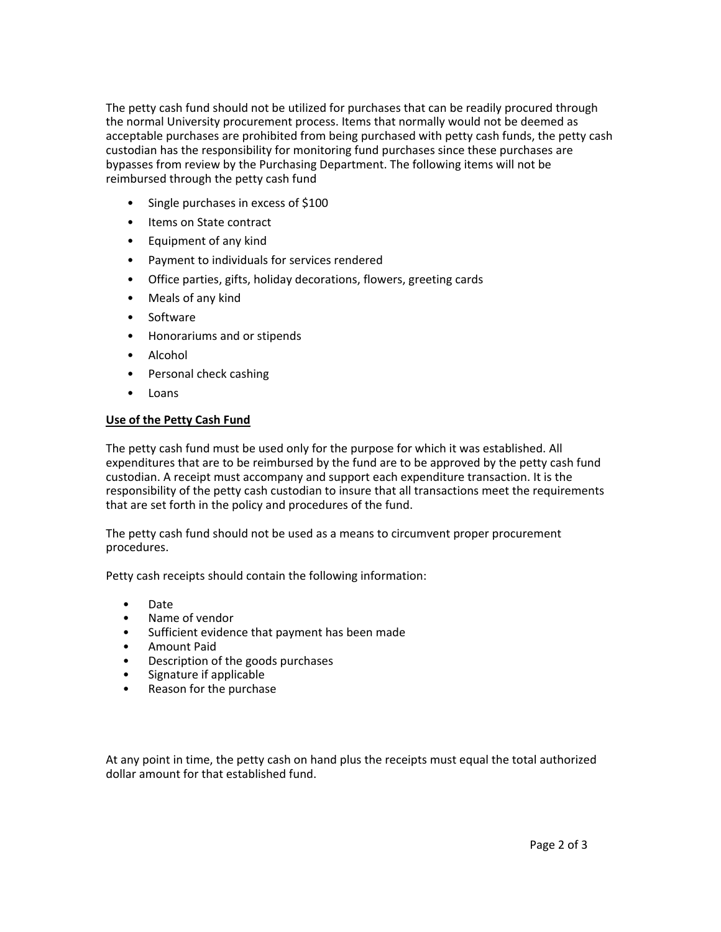The petty cash fund should not be utilized for purchases that can be readily procured through the normal University procurement process. Items that normally would not be deemed as acceptable purchases are prohibited from being purchased with petty cash funds, the petty cash custodian has the responsibility for monitoring fund purchases since these purchases are bypasses from review by the Purchasing Department. The following items will not be reimbursed through the petty cash fund

- Single purchases in excess of \$100
- Items on State contract
- Equipment of any kind
- Payment to individuals for services rendered
- Office parties, gifts, holiday decorations, flowers, greeting cards
- Meals of any kind
- Software
- Honorariums and or stipends
- Alcohol
- Personal check cashing
- Loans

# **Use of the Petty Cash Fund**

The petty cash fund must be used only for the purpose for which it was established. All expenditures that are to be reimbursed by the fund are to be approved by the petty cash fund custodian. A receipt must accompany and support each expenditure transaction. It is the responsibility of the petty cash custodian to insure that all transactions meet the requirements that are set forth in the policy and procedures of the fund.

The petty cash fund should not be used as a means to circumvent proper procurement procedures.

Petty cash receipts should contain the following information:

- Date
- Name of vendor
- Sufficient evidence that payment has been made
- Amount Paid
- Description of the goods purchases
- Signature if applicable
- Reason for the purchase

At any point in time, the petty cash on hand plus the receipts must equal the total authorized dollar amount for that established fund.